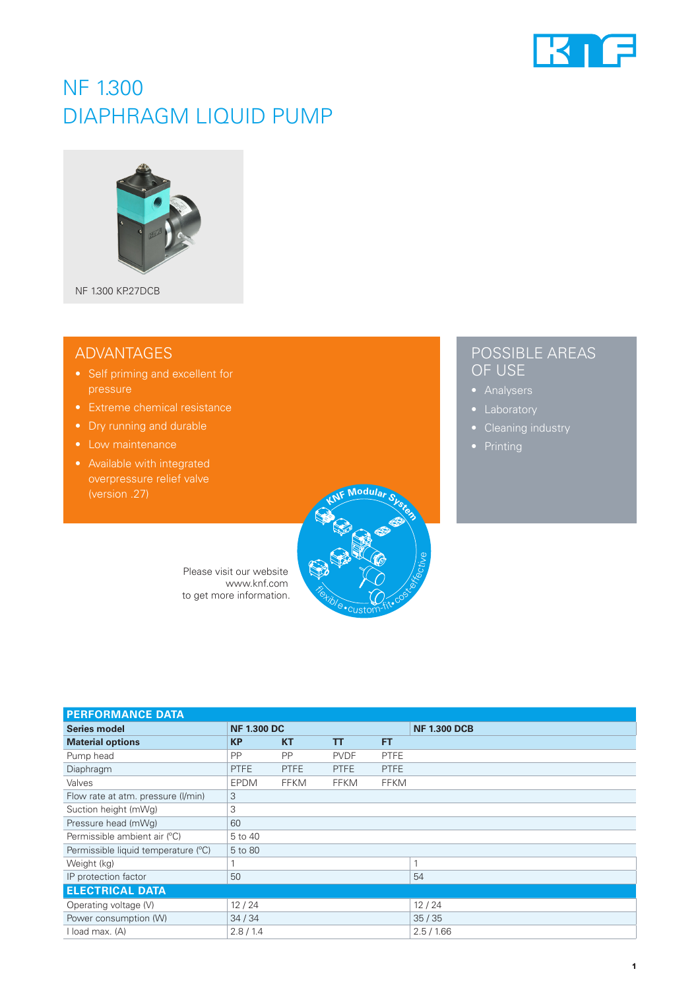

# NF 1.300 DIAPHRAGM LIQUID PUMP



NF 1.300 KP.27DCB

### ADVANTAGES

- pressure
- Extreme chemical resistance
- Dry running and durable
- Low maintenance
- Available with integrated



#### **PERFORMANCE DATA Series model NF 1.300 DCB NF 1.300 DCB Material options KP KT TT FT** Pump head PP PP PVDF PTFE Diaphragm PTFE PTFE PTFE PTFE PTFE Valves EPDM FFKM FFKM FFKM Flow rate at atm. pressure (I/min) 3 Suction height (mWg) 3 Pressure head (mWg) 60 Permissible ambient air (°C) 5 to 40 Permissible liquid temperature (°C) 5 to 80 Weight (kg) 1 1 IP protection factor  $\boxed{50}$  54 **ELECTRICAL DATA** Operating voltage (V) 12 / 24 12 / 24 12 / 24 Power consumption (W) 34 / 34 35 / 35 I load max. (A) 2.8 / 1.4 2.5 / 1.66

## POSSIBLE AREAS OF USE

- 
- Laboratory
- 
-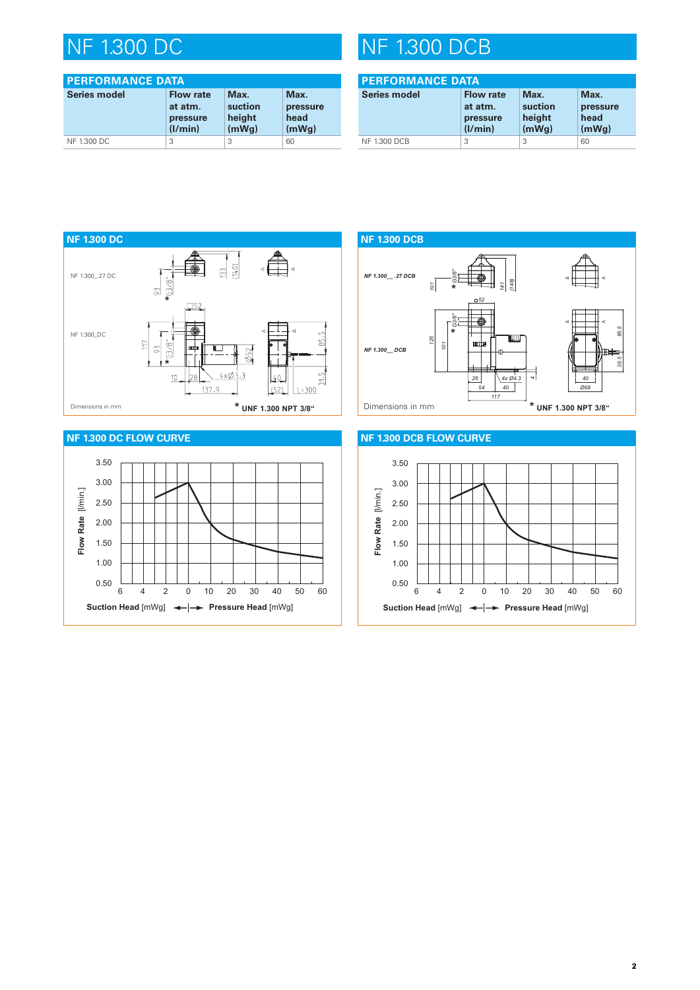# NF 1.300 DC

| <b>PERFORMANCE DATA</b> |                                                    |                                    |                                   |  |
|-------------------------|----------------------------------------------------|------------------------------------|-----------------------------------|--|
| <b>Series model</b>     | <b>Flow rate</b><br>at atm.<br>pressure<br>(1/min) | Max.<br>suction<br>height<br>(mWq) | Max.<br>pressure<br>head<br>(mWq) |  |
| NF 1.300 DC             | 3                                                  | 3                                  | 60                                |  |

# NF 1.300 DCB

| <b>PERFORMANCE DATA</b> |                                                    |                                    |                                   |  |
|-------------------------|----------------------------------------------------|------------------------------------|-----------------------------------|--|
| <b>Series model</b>     | <b>Flow rate</b><br>at atm.<br>pressure<br>(1/min) | Max.<br>suction<br>height<br>(mWq) | Max.<br>pressure<br>head<br>(mWq) |  |
| <b>NF 1.300 DCB</b>     | 3                                                  | 3                                  | 60                                |  |



### **NF 1.300 DC FLOW CURVE**





### **NF 1.300 DCB FLOW CURVE**